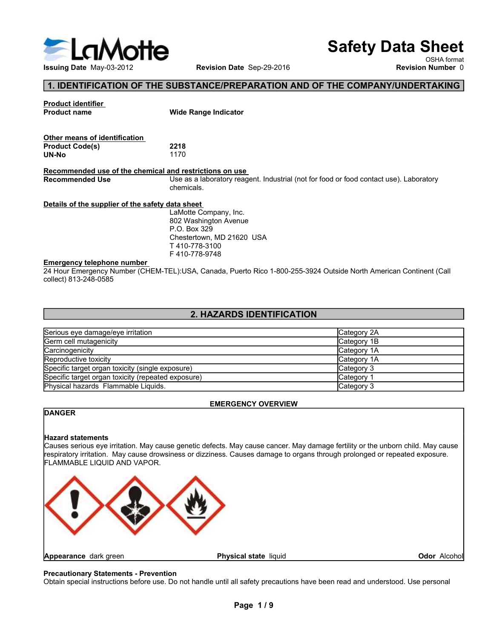

# Safety Data Sheet

# 1. IDENTIFICATION OF THE SUBSTANCE/PREPARATION AND OF THE COMPANY/UNDERTAKING

| LaMotte                                                                                                |                                                                                                                    |                          | <b>Safety Data Sheet</b>                |
|--------------------------------------------------------------------------------------------------------|--------------------------------------------------------------------------------------------------------------------|--------------------------|-----------------------------------------|
| Issuing Date May-03-2012                                                                               | Revision Date Sep-29-2016                                                                                          |                          | OSHA format<br><b>Revision Number 0</b> |
|                                                                                                        | 1. IDENTIFICATION OF THE SUBSTANCE/PREPARATION AND OF THE COMPANY/UNDERTAKING                                      |                          |                                         |
|                                                                                                        |                                                                                                                    |                          |                                         |
| <b>Product identifier</b><br><b>Product name</b>                                                       | <b>Wide Range Indicator</b>                                                                                        |                          |                                         |
| Other means of identification<br><b>Product Code(s)</b><br><b>UN-No</b>                                | 2218<br>1170                                                                                                       |                          |                                         |
| Recommended use of the chemical and restrictions on use<br><b>Recommended Use</b>                      | Use as a laboratory reagent. Industrial (not for food or food contact use). Laboratory<br>chemicals.               |                          |                                         |
| Details of the supplier of the safety data sheet                                                       |                                                                                                                    |                          |                                         |
|                                                                                                        | LaMotte Company, Inc.<br>802 Washington Avenue<br>P.O. Box 329                                                     |                          |                                         |
|                                                                                                        | Chestertown, MD 21620 USA<br>T 410-778-3100<br>F410-778-9748                                                       |                          |                                         |
| <b>Emergency telephone number</b><br>collect) 813-248-0585                                             | 24 Hour Emergency Number (CHEM-TEL):USA, Canada, Puerto Rico 1-800-255-3924 Outside North American Continent (Call |                          |                                         |
|                                                                                                        | 2. HAZARDS IDENTIFICATION                                                                                          |                          |                                         |
| Serious eye damage/eye irritation                                                                      |                                                                                                                    | Category 2A              |                                         |
| Germ cell mutagenicity                                                                                 |                                                                                                                    | Category 1B              |                                         |
| Carcinogenicity<br>Reproductive toxicity                                                               |                                                                                                                    | Category 1A              |                                         |
|                                                                                                        |                                                                                                                    | Category 1A              |                                         |
| Specific target organ toxicity (single exposure)<br>Specific target organ toxicity (repeated exposure) |                                                                                                                    | Category 3<br>Category 1 |                                         |
| Physical hazards Flammable Liquids.                                                                    |                                                                                                                    | Category 3               |                                         |
|                                                                                                        |                                                                                                                    |                          |                                         |
| <b>DANGER</b>                                                                                          | <b>EMERGENCY OVERVIEW</b>                                                                                          |                          |                                         |
|                                                                                                        |                                                                                                                    |                          |                                         |
|                                                                                                        |                                                                                                                    |                          |                                         |

# 2. HAZARDS IDENTIFICATION

|                                                                                                                                                                                                                                                                                                                          | P.O. Box 329<br>Chestertown, MD 21620 USA<br>T410-778-3100<br>F410-778-9748 |              |  |
|--------------------------------------------------------------------------------------------------------------------------------------------------------------------------------------------------------------------------------------------------------------------------------------------------------------------------|-----------------------------------------------------------------------------|--------------|--|
| <b>Emergency telephone number</b><br>24 Hour Emergency Number (CHEM-TEL):USA, Canada, Puerto Rico 1-800-255-3924 Outside North American Continent (Call<br>collect) 813-248-0585                                                                                                                                         |                                                                             |              |  |
|                                                                                                                                                                                                                                                                                                                          | 2. HAZARDS IDENTIFICATION                                                   |              |  |
| Serious eye damage/eye irritation                                                                                                                                                                                                                                                                                        |                                                                             | Category 2A  |  |
| Germ cell mutagenicity                                                                                                                                                                                                                                                                                                   |                                                                             | Category 1B  |  |
| Carcinogenicity                                                                                                                                                                                                                                                                                                          |                                                                             | Category 1A  |  |
| Reproductive toxicity                                                                                                                                                                                                                                                                                                    |                                                                             | Category 1A  |  |
| Specific target organ toxicity (single exposure)                                                                                                                                                                                                                                                                         |                                                                             | Category 3   |  |
| Specific target organ toxicity (repeated exposure)                                                                                                                                                                                                                                                                       |                                                                             | Category 1   |  |
| Physical hazards Flammable Liquids.                                                                                                                                                                                                                                                                                      |                                                                             | Category 3   |  |
|                                                                                                                                                                                                                                                                                                                          | <b>EMERGENCY OVERVIEW</b>                                                   |              |  |
| <b>DANGER</b>                                                                                                                                                                                                                                                                                                            |                                                                             |              |  |
| <b>Hazard statements</b><br>Causes serious eye irritation. May cause genetic defects. May cause cancer. May damage fertility or the unborn child. May cause<br>respiratory irritation. May cause drowsiness or dizziness. Causes damage to organs through prolonged or repeated exposure.<br>FLAMMABLE LIQUID AND VAPOR. |                                                                             |              |  |
| Appearance dark green<br><b>Precautionary Statements - Prevention</b><br>Obtain special instructions before use. Do not handle until all safety precautions have been read and understood. Use personal                                                                                                                  | Physical state liquid                                                       | Odor Alcohol |  |
|                                                                                                                                                                                                                                                                                                                          | Page 1/9                                                                    |              |  |

# EMERGENCY OVERVIEW

# DANGER

SENCY OVERVIEW<br>
Ilay cause cancer. May damage fertility or the unborn child. May cause<br>
rauses damage to organs through prolonged or repeated exposure.<br>
Il safety precautions have been read and understood. Use personal<br>
Pa

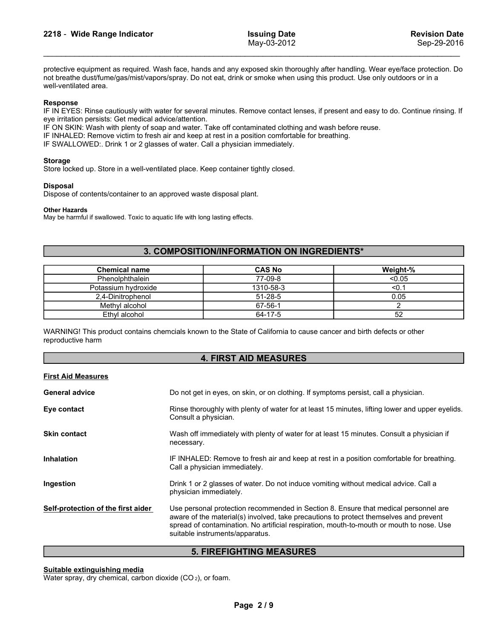2218 - Wide Range Indicator May-03-2012<br>
May-03-2012<br>
Protective equipment as required. Wash face, hands and any exposed skin thoroughly after handling. Wear eye/face protection. Do<br>
May-03-2012<br>
May-03-2012<br>
May-03-2012<br> **Protective equipment as required. Wash face, hands and any exposed skin thoroughly after handling. Wear eye/face protection. Do not breathe dust/fume/gas/mist/vapors/spray. Do not eat, drink or smoke when using this produ notice**<br>**notice dust/fume/gas/mist/vapors/spray. Do not eat, drink or smoke when using this product. Use only outdoors or in a<br>mot breathe dust/fume/gas/mist/vapors/spray. Do not eat, drink or smoke when using this produc 2218 - Wide Range Indicator**<br> **Example 18 May-03-2012**<br>
Protective equipment as required. Wash face, hands and any exposed skin thoroughly after handl<br>
not breathe dust/fume/gas/mist/vapors/spray. Do not eat, drink or smo **IF IN EYES:** Rinse cautiously with water for several minutes. Remove contact lenses, if present and easy to do. Continue rinsing. If a mether dustrium equinously with water for several minutes. Remove contact lenses, if p **Example 12218 - Wide Range Indicator**<br>
May-03-2012<br>
Frotective equipment as required. Wash face, hands and any exposed skin thoroughly after handling. Wear eye/face<br>
not breathe dust/fume/gas/mist/vapors/spray. Do not eat **ISSUING Date**<br>
ISSUING Date<br>
May-03-2012<br>
Interactive equipment as required. Wash face, hands and any exposed skin thoroughly after handling. Wear eye/face protection. Do<br>
not breathe dust/furne/gas/mist/vapors/spray. Do **ISSUING PROPERTY AIR CONDUCT CONDUCT AIR CONDUCTS CONDUCTS CONDUCTS CONDUCTS CONDUCTS CONDUCTS CONDUCTS CONDUCTS CONDUCTS CONDUCTS CONDUCTS (FOR PROPERTY CONDUCTS AIR AND WELLY AND A POSSESS THE THINGLET CONDUCTS ARE RESP ISSuing Date**<br>
May-03-2012<br> **ISSUING PROFICE:** Mass and any exposed skin thoroughly after handling. Wear eye/face protection. Do<br>
Into the tastifume (gas/mist/vapors/spray. Do not eat, drink or smoke when using this produ Store locked up. Store in a well-ventilated place. Keep container tightly closed.<br>
Sep-29-2016<br>
Sep-29-2016<br>
Sep-29-2016<br>
Not breathed ustrume(gas/mist/vapors/spray. Do not eat, drink or smoke when using this product. Use **Example Indicator Figure 12218 - Wide Range Indicator** May-03-2012<br>
May-03-2012<br>
Disposed:<br>
Dispose of contents, disposed was a approximately approximately were an approximately were allowed to a<br>
Dispose the distribution

# Storage

# Other Hazards

# 3. COMPOSITION/INFORMATION ON INGREDIENTS\*

| well-ventilated area.                                              | not breathe dust/fume/gas/mist/vapors/spray. Do not eat, drink or smoke when using this product. Use only outdoors or in a                                                                                                                                                               |                                                                                                 | protective equipment as required. Wash face, hands and any exposed skin thoroughly after handling. Wear eye/face protection. Do     |  |  |  |  |
|--------------------------------------------------------------------|------------------------------------------------------------------------------------------------------------------------------------------------------------------------------------------------------------------------------------------------------------------------------------------|-------------------------------------------------------------------------------------------------|-------------------------------------------------------------------------------------------------------------------------------------|--|--|--|--|
| Response<br>eye irritation persists: Get medical advice/attention. | IF ON SKIN: Wash with plenty of soap and water. Take off contaminated clothing and wash before reuse.<br>IF INHALED: Remove victim to fresh air and keep at rest in a position comfortable for breathing.<br>IF SWALLOWED:. Drink 1 or 2 glasses of water. Call a physician immediately. |                                                                                                 | IF IN EYES: Rinse cautiously with water for several minutes. Remove contact lenses, if present and easy to do. Continue rinsing. If |  |  |  |  |
| <b>Storage</b>                                                     | Store locked up. Store in a well-ventilated place. Keep container tightly closed.                                                                                                                                                                                                        |                                                                                                 |                                                                                                                                     |  |  |  |  |
| <b>Disposal</b>                                                    | Dispose of contents/container to an approved waste disposal plant.                                                                                                                                                                                                                       |                                                                                                 |                                                                                                                                     |  |  |  |  |
| <b>Other Hazards</b>                                               | May be harmful if swallowed. Toxic to aquatic life with long lasting effects.                                                                                                                                                                                                            |                                                                                                 |                                                                                                                                     |  |  |  |  |
|                                                                    | 3. COMPOSITION/INFORMATION ON INGREDIENTS*                                                                                                                                                                                                                                               |                                                                                                 |                                                                                                                                     |  |  |  |  |
| <b>Chemical name</b>                                               |                                                                                                                                                                                                                                                                                          | <b>CAS No</b>                                                                                   | Weight-%                                                                                                                            |  |  |  |  |
| Phenolphthalein                                                    |                                                                                                                                                                                                                                                                                          | 77-09-8                                                                                         | < 0.05                                                                                                                              |  |  |  |  |
| Potassium hydroxide                                                |                                                                                                                                                                                                                                                                                          | 1310-58-3                                                                                       | < 0.1                                                                                                                               |  |  |  |  |
| 2,4-Dinitrophenol                                                  |                                                                                                                                                                                                                                                                                          | $51 - 28 - 5$                                                                                   | 0.05                                                                                                                                |  |  |  |  |
| Methyl alcohol                                                     |                                                                                                                                                                                                                                                                                          | $67 - 56 - 1$                                                                                   | $\overline{2}$                                                                                                                      |  |  |  |  |
| Ethyl alcohol                                                      |                                                                                                                                                                                                                                                                                          | 64-17-5                                                                                         | 52                                                                                                                                  |  |  |  |  |
| reproductive harm                                                  | WARNING! This product contains chemcials known to the State of California to cause cancer and birth defects or other                                                                                                                                                                     |                                                                                                 |                                                                                                                                     |  |  |  |  |
|                                                                    | <b>4. FIRST AID MEASURES</b>                                                                                                                                                                                                                                                             |                                                                                                 |                                                                                                                                     |  |  |  |  |
| <b>First Aid Measures</b>                                          |                                                                                                                                                                                                                                                                                          |                                                                                                 |                                                                                                                                     |  |  |  |  |
| <b>General advice</b>                                              |                                                                                                                                                                                                                                                                                          |                                                                                                 | Do not get in eyes, on skin, or on clothing. If symptoms persist, call a physician.                                                 |  |  |  |  |
| Eye contact                                                        | Consult a physician.                                                                                                                                                                                                                                                                     | Rinse thoroughly with plenty of water for at least 15 minutes, lifting lower and upper eyelids. |                                                                                                                                     |  |  |  |  |
|                                                                    |                                                                                                                                                                                                                                                                                          |                                                                                                 |                                                                                                                                     |  |  |  |  |

# 4. FIRST AID MEASURES

| <b>Disposal</b><br>Dispose of contents/container to an approved waste disposal plant.                  |                                                                                                                                                                                                                                                                                                             |                                                                                      |  |  |  |  |
|--------------------------------------------------------------------------------------------------------|-------------------------------------------------------------------------------------------------------------------------------------------------------------------------------------------------------------------------------------------------------------------------------------------------------------|--------------------------------------------------------------------------------------|--|--|--|--|
| <b>Other Hazards</b><br>May be harmful if swallowed. Toxic to aquatic life with long lasting effects.  |                                                                                                                                                                                                                                                                                                             |                                                                                      |  |  |  |  |
|                                                                                                        | 3. COMPOSITION/INFORMATION ON INGREDIENTS*                                                                                                                                                                                                                                                                  |                                                                                      |  |  |  |  |
|                                                                                                        |                                                                                                                                                                                                                                                                                                             |                                                                                      |  |  |  |  |
| <b>Chemical name</b>                                                                                   | <b>CAS No</b>                                                                                                                                                                                                                                                                                               | Weight-%                                                                             |  |  |  |  |
| Phenolphthalein                                                                                        | 77-09-8                                                                                                                                                                                                                                                                                                     | < 0.05                                                                               |  |  |  |  |
| Potassium hydroxide                                                                                    | 1310-58-3                                                                                                                                                                                                                                                                                                   | < 0.1                                                                                |  |  |  |  |
| 2,4-Dinitrophenol                                                                                      | $51 - 28 - 5$<br>67-56-1                                                                                                                                                                                                                                                                                    | 0.05                                                                                 |  |  |  |  |
| Methyl alcohol<br>Ethyl alcohol                                                                        | 64-17-5                                                                                                                                                                                                                                                                                                     | $\overline{2}$<br>52                                                                 |  |  |  |  |
| reproductive harm                                                                                      | WARNING! This product contains chemcials known to the State of California to cause cancer and birth defects or other                                                                                                                                                                                        |                                                                                      |  |  |  |  |
|                                                                                                        | <b>4. FIRST AID MEASURES</b>                                                                                                                                                                                                                                                                                |                                                                                      |  |  |  |  |
| <b>First Aid Measures</b>                                                                              |                                                                                                                                                                                                                                                                                                             |                                                                                      |  |  |  |  |
| <b>General advice</b>                                                                                  | Do not get in eyes, on skin, or on clothing. If symptoms persist, call a physician.                                                                                                                                                                                                                         |                                                                                      |  |  |  |  |
| Eye contact                                                                                            | Rinse thoroughly with plenty of water for at least 15 minutes, lifting lower and upper eyelids.<br>Consult a physician.                                                                                                                                                                                     |                                                                                      |  |  |  |  |
| <b>Skin contact</b>                                                                                    | Wash off immediately with plenty of water for at least 15 minutes. Consult a physician if<br>necessary.                                                                                                                                                                                                     |                                                                                      |  |  |  |  |
| <b>Inhalation</b>                                                                                      | IF INHALED: Remove to fresh air and keep at rest in a position comfortable for breathing.<br>Call a physician immediately.                                                                                                                                                                                  |                                                                                      |  |  |  |  |
| Ingestion                                                                                              | physician immediately.                                                                                                                                                                                                                                                                                      | Drink 1 or 2 glasses of water. Do not induce vomiting without medical advice. Call a |  |  |  |  |
| Self-protection of the first aider                                                                     | Use personal protection recommended in Section 8. Ensure that medical personnel are<br>aware of the material(s) involved, take precautions to protect themselves and prevent<br>spread of contamination. No artificial respiration, mouth-to-mouth or mouth to nose. Use<br>suitable instruments/apparatus. |                                                                                      |  |  |  |  |
|                                                                                                        | <b>5. FIREFIGHTING MEASURES</b>                                                                                                                                                                                                                                                                             |                                                                                      |  |  |  |  |
| Suitable extinguishing media<br>Water spray, dry chemical, carbon dioxide (CO <sub>2</sub> ), or foam. |                                                                                                                                                                                                                                                                                                             |                                                                                      |  |  |  |  |
|                                                                                                        | Page 2/9                                                                                                                                                                                                                                                                                                    |                                                                                      |  |  |  |  |
|                                                                                                        |                                                                                                                                                                                                                                                                                                             |                                                                                      |  |  |  |  |
|                                                                                                        |                                                                                                                                                                                                                                                                                                             |                                                                                      |  |  |  |  |

# 5. FIREFIGHTING MEASURES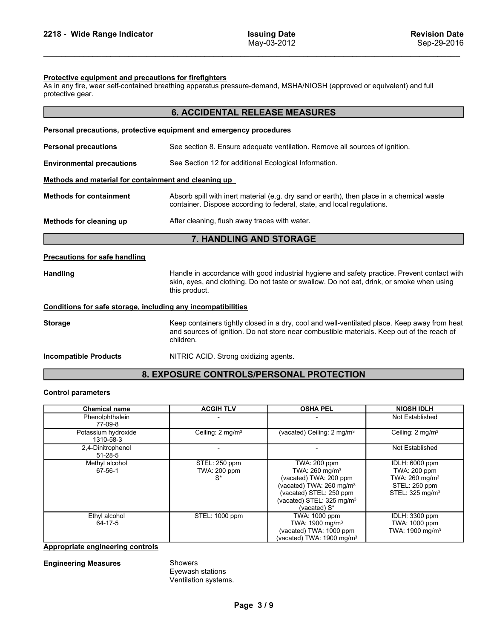2218 - Wide Range Indicator Issuing Date<br>
May-03-2012<br>
Protective equipment and precautions for firefighters<br>
As in any fire wear self-contained breathing apparatus pressure-demand MSHA/NIOSH (approved or equivalent) and f protective gear.

| 2218 - Wide Range Indicator                                                                                                                                                                        |                                                                                                                                                                     | <b>Issuing Date</b><br>May-03-2012                                                                                                                                                         | <b>Revision Date</b><br>Sep-29-2016                                                                          |  |  |  |  |
|----------------------------------------------------------------------------------------------------------------------------------------------------------------------------------------------------|---------------------------------------------------------------------------------------------------------------------------------------------------------------------|--------------------------------------------------------------------------------------------------------------------------------------------------------------------------------------------|--------------------------------------------------------------------------------------------------------------|--|--|--|--|
|                                                                                                                                                                                                    |                                                                                                                                                                     |                                                                                                                                                                                            |                                                                                                              |  |  |  |  |
| Protective equipment and precautions for firefighters<br>As in any fire, wear self-contained breathing apparatus pressure-demand, MSHA/NIOSH (approved or equivalent) and full<br>protective gear. |                                                                                                                                                                     |                                                                                                                                                                                            |                                                                                                              |  |  |  |  |
|                                                                                                                                                                                                    | <b>6. ACCIDENTAL RELEASE MEASURES</b>                                                                                                                               |                                                                                                                                                                                            |                                                                                                              |  |  |  |  |
| Personal precautions, protective equipment and emergency procedures                                                                                                                                |                                                                                                                                                                     |                                                                                                                                                                                            |                                                                                                              |  |  |  |  |
| <b>Personal precautions</b>                                                                                                                                                                        |                                                                                                                                                                     | See section 8. Ensure adequate ventilation. Remove all sources of ignition.                                                                                                                |                                                                                                              |  |  |  |  |
| <b>Environmental precautions</b>                                                                                                                                                                   | See Section 12 for additional Ecological Information.                                                                                                               |                                                                                                                                                                                            |                                                                                                              |  |  |  |  |
| Methods and material for containment and cleaning up                                                                                                                                               |                                                                                                                                                                     |                                                                                                                                                                                            |                                                                                                              |  |  |  |  |
| <b>Methods for containment</b>                                                                                                                                                                     | Absorb spill with inert material (e.g. dry sand or earth), then place in a chemical waste<br>container. Dispose according to federal, state, and local regulations. |                                                                                                                                                                                            |                                                                                                              |  |  |  |  |
| Methods for cleaning up                                                                                                                                                                            | After cleaning, flush away traces with water.                                                                                                                       |                                                                                                                                                                                            |                                                                                                              |  |  |  |  |
|                                                                                                                                                                                                    | 7. HANDLING AND STORAGE                                                                                                                                             |                                                                                                                                                                                            |                                                                                                              |  |  |  |  |
| <b>Precautions for safe handling</b>                                                                                                                                                               |                                                                                                                                                                     |                                                                                                                                                                                            |                                                                                                              |  |  |  |  |
| Handling                                                                                                                                                                                           | this product.                                                                                                                                                       | Handle in accordance with good industrial hygiene and safety practice. Prevent contact with<br>skin, eyes, and clothing. Do not taste or swallow. Do not eat, drink, or smoke when using   |                                                                                                              |  |  |  |  |
| Conditions for safe storage, including any incompatibilities                                                                                                                                       |                                                                                                                                                                     |                                                                                                                                                                                            |                                                                                                              |  |  |  |  |
| <b>Storage</b>                                                                                                                                                                                     | children.                                                                                                                                                           | Keep containers tightly closed in a dry, cool and well-ventilated place. Keep away from heat<br>and sources of ignition. Do not store near combustible materials. Keep out of the reach of |                                                                                                              |  |  |  |  |
| <b>Incompatible Products</b>                                                                                                                                                                       | NITRIC ACID. Strong oxidizing agents.                                                                                                                               |                                                                                                                                                                                            |                                                                                                              |  |  |  |  |
|                                                                                                                                                                                                    |                                                                                                                                                                     | 8. EXPOSURE CONTROLS/PERSONAL PROTECTION                                                                                                                                                   |                                                                                                              |  |  |  |  |
| <b>Control parameters</b>                                                                                                                                                                          |                                                                                                                                                                     |                                                                                                                                                                                            |                                                                                                              |  |  |  |  |
| <b>Chemical name</b>                                                                                                                                                                               | <b>ACGIH TLV</b>                                                                                                                                                    | <b>OSHA PEL</b>                                                                                                                                                                            | <b>NIOSH IDLH</b>                                                                                            |  |  |  |  |
| Phenolphthalein<br>77-09-8                                                                                                                                                                         |                                                                                                                                                                     |                                                                                                                                                                                            | Not Established                                                                                              |  |  |  |  |
| Potassium hydroxide<br>1310-58-3                                                                                                                                                                   | Ceiling: 2 mg/m <sup>3</sup>                                                                                                                                        | (vacated) Ceiling: 2 mg/m <sup>3</sup><br>$\overline{\phantom{a}}$                                                                                                                         | Ceiling: 2 mg/m <sup>3</sup>                                                                                 |  |  |  |  |
| 2,4-Dinitrophenol<br>51-28-5                                                                                                                                                                       |                                                                                                                                                                     |                                                                                                                                                                                            | Not Established                                                                                              |  |  |  |  |
| Methyl alcohol<br>67-56-1                                                                                                                                                                          | STEL: 250 ppm<br>TWA: 200 ppm<br>$S^*$                                                                                                                              | <b>TWA: 200 ppm</b><br>TWA: 260 mg/m <sup>3</sup><br>(vacated) TWA: 200 ppm<br>(vacated) TWA: 260 mg/m <sup>3</sup><br>(vacated) STEL: 250 ppm                                             | IDLH: 6000 ppm<br>TWA: 200 ppm<br>TWA: 260 mg/m <sup>3</sup><br>STEL: 250 ppm<br>STEL: 325 mg/m <sup>3</sup> |  |  |  |  |

# 8. EXPOSURE CONTROLS/PERSONAL PROTECTION

| Conditions for safe storage, including any incompatibilities |                                                                                                                                                                                                         |                                                                                                                                                                                                         |                                                                                                              |  |  |  |  |
|--------------------------------------------------------------|---------------------------------------------------------------------------------------------------------------------------------------------------------------------------------------------------------|---------------------------------------------------------------------------------------------------------------------------------------------------------------------------------------------------------|--------------------------------------------------------------------------------------------------------------|--|--|--|--|
| <b>Storage</b>                                               | Keep containers tightly closed in a dry, cool and well-ventilated place. Keep away from heat<br>and sources of ignition. Do not store near combustible materials. Keep out of the reach of<br>children. |                                                                                                                                                                                                         |                                                                                                              |  |  |  |  |
| <b>Incompatible Products</b>                                 | NITRIC ACID. Strong oxidizing agents.                                                                                                                                                                   |                                                                                                                                                                                                         |                                                                                                              |  |  |  |  |
|                                                              |                                                                                                                                                                                                         | 8. EXPOSURE CONTROLS/PERSONAL PROTECTION                                                                                                                                                                |                                                                                                              |  |  |  |  |
| <b>Control parameters</b>                                    |                                                                                                                                                                                                         |                                                                                                                                                                                                         |                                                                                                              |  |  |  |  |
| <b>Chemical name</b>                                         | <b>ACGIH TLV</b>                                                                                                                                                                                        | <b>OSHA PEL</b>                                                                                                                                                                                         | <b>NIOSH IDLH</b>                                                                                            |  |  |  |  |
| Phenolphthalein<br>77-09-8                                   |                                                                                                                                                                                                         |                                                                                                                                                                                                         | Not Established                                                                                              |  |  |  |  |
| Potassium hydroxide<br>1310-58-3                             | Ceiling: 2 mg/m <sup>3</sup>                                                                                                                                                                            | (vacated) Ceiling: 2 mg/m <sup>3</sup>                                                                                                                                                                  | Ceiling: 2 mg/m <sup>3</sup>                                                                                 |  |  |  |  |
| 2,4-Dinitrophenol<br>$51 - 28 - 5$                           | ÷,                                                                                                                                                                                                      | $\blacksquare$                                                                                                                                                                                          | Not Established                                                                                              |  |  |  |  |
| Methyl alcohol<br>67-56-1                                    | STEL: 250 ppm<br>TWA: 200 ppm<br>$S^*$                                                                                                                                                                  | <b>TWA: 200 ppm</b><br>TWA: 260 mg/m <sup>3</sup><br>(vacated) TWA: 200 ppm<br>(vacated) TWA: 260 mg/m <sup>3</sup><br>(vacated) STEL: 250 ppm<br>(vacated) STEL: 325 mg/m <sup>3</sup><br>(vacated) S* | IDLH: 6000 ppm<br>TWA: 200 ppm<br>TWA: 260 mg/m <sup>3</sup><br>STEL: 250 ppm<br>STEL: 325 mg/m <sup>3</sup> |  |  |  |  |
| Ethyl alcohol<br>64-17-5                                     | STEL: 1000 ppm                                                                                                                                                                                          | TWA: 1000 ppm<br>TWA: 1900 mg/m <sup>3</sup><br>(vacated) TWA: 1000 ppm<br>(vacated) TWA: 1900 mg/m <sup>3</sup>                                                                                        | <b>IDLH: 3300 ppm</b><br>TWA: 1000 ppm<br>TWA: 1900 mg/m <sup>3</sup>                                        |  |  |  |  |
| <b>Appropriate engineering controls</b>                      |                                                                                                                                                                                                         |                                                                                                                                                                                                         |                                                                                                              |  |  |  |  |
| <b>Engineering Measures</b>                                  | Showers<br>Eyewash stations<br>Ventilation systems.                                                                                                                                                     |                                                                                                                                                                                                         |                                                                                                              |  |  |  |  |
|                                                              | Page 3/9                                                                                                                                                                                                |                                                                                                                                                                                                         |                                                                                                              |  |  |  |  |
|                                                              |                                                                                                                                                                                                         |                                                                                                                                                                                                         |                                                                                                              |  |  |  |  |
|                                                              |                                                                                                                                                                                                         |                                                                                                                                                                                                         |                                                                                                              |  |  |  |  |
|                                                              |                                                                                                                                                                                                         |                                                                                                                                                                                                         |                                                                                                              |  |  |  |  |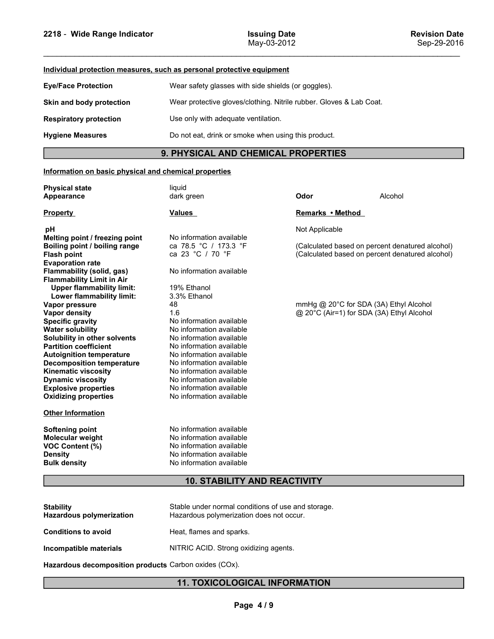| 2218 - Wide Range Indicator                                           | <b>Issuing Date</b><br>May-03-2012                                  |                                     |         | <b>Revision Date</b><br>Sep-29-2016 |  |
|-----------------------------------------------------------------------|---------------------------------------------------------------------|-------------------------------------|---------|-------------------------------------|--|
| Individual protection measures, such as personal protective equipment |                                                                     |                                     |         |                                     |  |
| <b>Eye/Face Protection</b>                                            | Wear safety glasses with side shields (or goggles).                 |                                     |         |                                     |  |
| Skin and body protection                                              | Wear protective gloves/clothing. Nitrile rubber. Gloves & Lab Coat. |                                     |         |                                     |  |
| <b>Respiratory protection</b>                                         |                                                                     | Use only with adequate ventilation. |         |                                     |  |
| <b>Hygiene Measures</b>                                               | Do not eat, drink or smoke when using this product.                 |                                     |         |                                     |  |
|                                                                       | 9. PHYSICAL AND CHEMICAL PROPERTIES                                 |                                     |         |                                     |  |
| Information on basic physical and chemical properties                 |                                                                     |                                     |         |                                     |  |
| <b>Physical state</b>                                                 | liquid                                                              | Odor                                | Alcohol |                                     |  |
| <b>Appearance</b>                                                     | dark green                                                          |                                     |         |                                     |  |
| <b>Property</b>                                                       | Values                                                              | Remarks • Method                    |         |                                     |  |

# 9. PHYSICAL AND CHEMICAL PROPERTIES

| Individual protection measures, such as personal protective equipment<br><b>Eye/Face Protection</b><br>Wear safety glasses with side shields (or goggles).<br>Wear protective gloves/clothing. Nitrile rubber. Gloves & Lab Coat.<br>Skin and body protection<br>Use only with adequate ventilation.<br><b>Respiratory protection</b>                                                                                                                                                                                                                                                                                                                                                                                                                                                                                                                                                       |
|---------------------------------------------------------------------------------------------------------------------------------------------------------------------------------------------------------------------------------------------------------------------------------------------------------------------------------------------------------------------------------------------------------------------------------------------------------------------------------------------------------------------------------------------------------------------------------------------------------------------------------------------------------------------------------------------------------------------------------------------------------------------------------------------------------------------------------------------------------------------------------------------|
|                                                                                                                                                                                                                                                                                                                                                                                                                                                                                                                                                                                                                                                                                                                                                                                                                                                                                             |
|                                                                                                                                                                                                                                                                                                                                                                                                                                                                                                                                                                                                                                                                                                                                                                                                                                                                                             |
|                                                                                                                                                                                                                                                                                                                                                                                                                                                                                                                                                                                                                                                                                                                                                                                                                                                                                             |
|                                                                                                                                                                                                                                                                                                                                                                                                                                                                                                                                                                                                                                                                                                                                                                                                                                                                                             |
| Do not eat, drink or smoke when using this product.<br><b>Hygiene Measures</b>                                                                                                                                                                                                                                                                                                                                                                                                                                                                                                                                                                                                                                                                                                                                                                                                              |
| 9. PHYSICAL AND CHEMICAL PROPERTIES                                                                                                                                                                                                                                                                                                                                                                                                                                                                                                                                                                                                                                                                                                                                                                                                                                                         |
| Information on basic physical and chemical properties                                                                                                                                                                                                                                                                                                                                                                                                                                                                                                                                                                                                                                                                                                                                                                                                                                       |
| liquid<br><b>Physical state</b><br>Alcohol<br>dark green<br>Odor<br>Appearance                                                                                                                                                                                                                                                                                                                                                                                                                                                                                                                                                                                                                                                                                                                                                                                                              |
| Remarks • Method<br><b>Property</b><br><u>Values</u>                                                                                                                                                                                                                                                                                                                                                                                                                                                                                                                                                                                                                                                                                                                                                                                                                                        |
| Not Applicable<br>рH                                                                                                                                                                                                                                                                                                                                                                                                                                                                                                                                                                                                                                                                                                                                                                                                                                                                        |
| No information available<br>Melting point / freezing point<br>ca 78.5 °C / 173.3 °F<br>(Calculated based on percent denatured alcohol)<br>Boiling point / boiling range<br>ca 23 °C / 70 °F<br>(Calculated based on percent denatured alcohol)<br><b>Flash point</b><br><b>Evaporation rate</b><br>No information available<br>Flammability (solid, gas)                                                                                                                                                                                                                                                                                                                                                                                                                                                                                                                                    |
| <b>Flammability Limit in Air</b><br>19% Ethanol<br><b>Upper flammability limit:</b><br>3.3% Ethanol<br>Lower flammability limit:<br>mmHg @ 20°C for SDA (3A) Ethyl Alcohol<br>48<br>Vapor pressure<br>1.6<br>@ 20°C (Air=1) for SDA (3A) Ethyl Alcohol<br><b>Vapor density</b><br>No information available<br><b>Specific gravity</b><br>No information available<br><b>Water solubility</b><br>No information available<br>Solubility in other solvents<br><b>Partition coefficient</b><br>No information available<br>No information available<br><b>Autoignition temperature</b><br>No information available<br><b>Decomposition temperature</b><br>No information available<br><b>Kinematic viscosity</b><br>No information available<br><b>Dynamic viscosity</b><br><b>Explosive properties</b><br>No information available<br>No information available<br><b>Oxidizing properties</b> |
| <b>Other Information</b>                                                                                                                                                                                                                                                                                                                                                                                                                                                                                                                                                                                                                                                                                                                                                                                                                                                                    |
| No information available<br><b>Softening point</b><br>No information available<br>Molecular weight<br>VOC Content (%)<br>No information available<br>No information available<br><b>Density</b><br>No information available<br><b>Bulk density</b>                                                                                                                                                                                                                                                                                                                                                                                                                                                                                                                                                                                                                                          |
| <b>10. STABILITY AND REACTIVITY</b>                                                                                                                                                                                                                                                                                                                                                                                                                                                                                                                                                                                                                                                                                                                                                                                                                                                         |
| <b>Stability</b><br>Stable under normal conditions of use and storage.<br>Hazardous polymerization does not occur.<br>Hazardous polymerization                                                                                                                                                                                                                                                                                                                                                                                                                                                                                                                                                                                                                                                                                                                                              |
| <b>Conditions to avoid</b><br>Heat, flames and sparks.                                                                                                                                                                                                                                                                                                                                                                                                                                                                                                                                                                                                                                                                                                                                                                                                                                      |
| NITRIC ACID. Strong oxidizing agents.<br>Incompatible materials                                                                                                                                                                                                                                                                                                                                                                                                                                                                                                                                                                                                                                                                                                                                                                                                                             |
| Hazardous decomposition products Carbon oxides (COx).                                                                                                                                                                                                                                                                                                                                                                                                                                                                                                                                                                                                                                                                                                                                                                                                                                       |
| <b>11. TOXICOLOGICAL INFORMATION</b>                                                                                                                                                                                                                                                                                                                                                                                                                                                                                                                                                                                                                                                                                                                                                                                                                                                        |
|                                                                                                                                                                                                                                                                                                                                                                                                                                                                                                                                                                                                                                                                                                                                                                                                                                                                                             |
| Page 4/9                                                                                                                                                                                                                                                                                                                                                                                                                                                                                                                                                                                                                                                                                                                                                                                                                                                                                    |
|                                                                                                                                                                                                                                                                                                                                                                                                                                                                                                                                                                                                                                                                                                                                                                                                                                                                                             |

| <b>Stability</b><br><b>Hazardous polymerization</b> | Stable under normal conditions of use and storage.<br>Hazardous polymerization does not occur. |
|-----------------------------------------------------|------------------------------------------------------------------------------------------------|
| <b>Conditions to avoid</b>                          | Heat, flames and sparks.                                                                       |
| Incompatible materials                              | NITRIC ACID. Strong oxidizing agents.                                                          |
|                                                     |                                                                                                |

# 11. TOXICOLOGICAL INFORMATION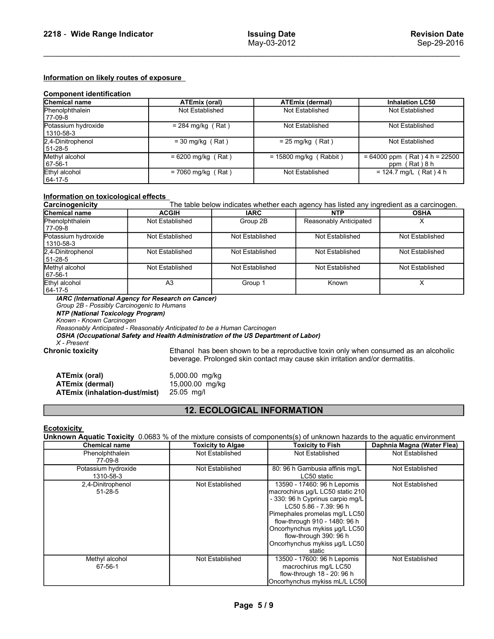# 2218 - Wide Range Indicator Issuing Date<br>May-03-2012 Revision Date<br>Information on likely routes of exposure

| 2218 - Wide Range Indicator                                                                         |                                 |                         | <b>Issuing Date</b><br>May-03-2012 |                                      | <b>Revision Date</b><br>Sep-29-2016                                                      |
|-----------------------------------------------------------------------------------------------------|---------------------------------|-------------------------|------------------------------------|--------------------------------------|------------------------------------------------------------------------------------------|
| Information on likely routes of exposure<br><b>Component identification</b><br><b>Chemical name</b> | <b>ATEmix (oral)</b>            |                         |                                    | <b>ATEmix (dermal)</b>               | <b>Inhalation LC50</b>                                                                   |
| Phenolphthalein                                                                                     | Not Established                 |                         |                                    | Not Established                      | Not Established                                                                          |
| 77-09-8<br>Potassium hydroxide                                                                      | $= 284$ mg/kg (Rat)             |                         |                                    | Not Established                      | Not Established                                                                          |
| 1310-58-3<br>2,4-Dinitrophenol<br>$\frac{51-28-5}{\text{Methyl alcohol}}$                           | $=$ 30 mg/kg (Rat)              |                         |                                    | $= 25$ mg/kg (Rat)                   | Not Established                                                                          |
|                                                                                                     | $= 6200$ mg/kg (Rat)            |                         |                                    | $= 15800$ mg/kg (Rabbit)             | $= 64000$ ppm (Rat) 4 h = 22500<br>ppm (Rat) 8 h                                         |
| 67-56-1                                                                                             |                                 | $= 7060$ mg/kg (Rat)    |                                    | Not Established                      | $= 124.7$ mg/L (Rat) 4 h                                                                 |
| Ethyl alcohol<br>64-17-5                                                                            |                                 |                         |                                    |                                      |                                                                                          |
| Information on toxicological effects                                                                |                                 |                         |                                    |                                      |                                                                                          |
| Carcinogenicity                                                                                     |                                 |                         |                                    |                                      | The table below indicates whether each agency has listed any ingredient as a carcinogen. |
| Chemical name<br>Phenolphthalein                                                                    | <b>ACGIH</b><br>Not Established | <b>IARC</b><br>Group 2B |                                    | <b>NTP</b><br>Reasonably Anticipated | <b>OSHA</b><br>X                                                                         |
| 77-09-8<br>Potassium hydroxide<br>1310-58-3                                                         | Not Established                 | Not Established         |                                    | Not Established                      | Not Established                                                                          |
| 2,4-Dinitrophenol                                                                                   | Not Established                 | Not Established         |                                    | Not Established                      | Not Established                                                                          |
| 51-28-5<br>Methyl alcohol<br>67-56-1<br>Ethyl alcohol<br>64-17-5                                    | Not Established<br>A3           | Not Established         |                                    | Not Established                      | Not Established                                                                          |

| 2,4-Dinitrophenol<br>51-28-5                                                                                                                                                                                                                                                                         | $=$ 30 mg/kg (Rat)                              |                          | $= 25$ mg/kg (Rat)                                                            | Not Established                                                                                                                 |
|------------------------------------------------------------------------------------------------------------------------------------------------------------------------------------------------------------------------------------------------------------------------------------------------------|-------------------------------------------------|--------------------------|-------------------------------------------------------------------------------|---------------------------------------------------------------------------------------------------------------------------------|
| Methyl alcohol<br>67-56-1                                                                                                                                                                                                                                                                            | $= 6200$ mg/kg (Rat)                            |                          | $= 15800$ mg/kg (Rabbit)                                                      | $= 64000$ ppm (Rat) 4 h = 22500<br>ppm (Rat) 8 h                                                                                |
| Ethyl alcohol<br>64-17-5                                                                                                                                                                                                                                                                             | $= 7060$ mg/kg (Rat)                            |                          | Not Established                                                               | $= 124.7$ mg/L (Rat) 4 h                                                                                                        |
| Information on toxicological effects                                                                                                                                                                                                                                                                 |                                                 |                          |                                                                               |                                                                                                                                 |
| Carcinogenicity                                                                                                                                                                                                                                                                                      |                                                 |                          |                                                                               | The table below indicates whether each agency has listed any ingredient as a carcinogen.                                        |
| Chemical name                                                                                                                                                                                                                                                                                        | <b>ACGIH</b>                                    | <b>IARC</b>              | NTP                                                                           | <b>OSHA</b>                                                                                                                     |
| Phenolphthalein<br>77-09-8                                                                                                                                                                                                                                                                           | Not Established                                 | Group 2B                 | Reasonably Anticipated                                                        | $\times$                                                                                                                        |
| Potassium hydroxide<br>1310-58-3                                                                                                                                                                                                                                                                     | Not Established                                 | Not Established          | Not Established                                                               | <b>Not Established</b>                                                                                                          |
| 2,4-Dinitrophenol<br>51-28-5                                                                                                                                                                                                                                                                         | Not Established                                 | Not Established          | Not Established                                                               | Not Established                                                                                                                 |
| Methyl alcohol<br>67-56-1                                                                                                                                                                                                                                                                            | Not Established                                 | Not Established          | Not Established                                                               | Not Established                                                                                                                 |
| Ethyl alcohol<br>64-17-5                                                                                                                                                                                                                                                                             | A <sub>3</sub>                                  | Group 1                  | Known                                                                         | X                                                                                                                               |
| Reasonably Anticipated - Reasonably Anticipated to be a Human Carcinogen<br>OSHA (Occupational Safety and Health Administration of the US Department of Labor)<br>$X$ - Present<br><b>Chronic toxicity</b><br><b>ATEmix (oral)</b><br><b>ATEmix (dermal)</b><br><b>ATEmix (inhalation-dust/mist)</b> | 5,000.00 mg/kg<br>15,000.00 mg/kg<br>25.05 mg/l |                          | beverage. Prolonged skin contact may cause skin irritation and/or dermatitis. | Ethanol has been shown to be a reproductive toxin only when consumed as an alcoholic                                            |
|                                                                                                                                                                                                                                                                                                      |                                                 |                          | <b>12. ECOLOGICAL INFORMATION</b>                                             |                                                                                                                                 |
| <b>Ecotoxicity</b>                                                                                                                                                                                                                                                                                   |                                                 |                          |                                                                               |                                                                                                                                 |
|                                                                                                                                                                                                                                                                                                      |                                                 |                          |                                                                               | <b>Unknown Aquatic Toxicity</b> 0.0683 % of the mixture consists of components(s) of unknown hazards to the aquatic environment |
| <b>Chemical name</b>                                                                                                                                                                                                                                                                                 |                                                 | <b>Toxicity to Algae</b> | <b>Toxicity to Fish</b>                                                       | Daphnia Magna (Water Flea)                                                                                                      |
| Phenolphthalein<br>77-09-8                                                                                                                                                                                                                                                                           |                                                 | Not Established          | Not Established                                                               | Not Established                                                                                                                 |
| Potassium hydroxide<br>1310-58-3                                                                                                                                                                                                                                                                     |                                                 | Not Established          | 80: 96 h Gambusia affinis mg/L<br>LC50 static                                 | Not Established                                                                                                                 |
| 2,4-Dinitrophenol                                                                                                                                                                                                                                                                                    |                                                 | Not Established          | 13590 - 17460: 96 h Lepomis                                                   | Not Established                                                                                                                 |

| ATEmix (oral)                 | 5,000.00 mg/kg  |
|-------------------------------|-----------------|
| ATEmix (dermal)               | 15,000.00 mg/kg |
| ATEmix (inhalation-dust/mist) | $25.05$ mg/     |

# 12. ECOLOGICAL INFORMATION

| Potassium hydroxide<br>1310-58-3                                                                                                                               | Not Established                                                                                                                                                                                                      | Not Established                   | Not Established                                                                                                                                                                                                                                                                                       | Not Established            |
|----------------------------------------------------------------------------------------------------------------------------------------------------------------|----------------------------------------------------------------------------------------------------------------------------------------------------------------------------------------------------------------------|-----------------------------------|-------------------------------------------------------------------------------------------------------------------------------------------------------------------------------------------------------------------------------------------------------------------------------------------------------|----------------------------|
| 2,4-Dinitrophenol<br>51-28-5                                                                                                                                   | Not Established                                                                                                                                                                                                      | Not Established                   | Not Established                                                                                                                                                                                                                                                                                       | Not Established            |
| Methyl alcohol<br>67-56-1                                                                                                                                      | Not Established                                                                                                                                                                                                      | Not Established                   | Not Established                                                                                                                                                                                                                                                                                       | Not Established            |
| Ethyl alcohol<br>64-17-5                                                                                                                                       | A <sub>3</sub>                                                                                                                                                                                                       | Group 1                           | Known                                                                                                                                                                                                                                                                                                 | X                          |
| Group 2B - Possibly Carcinogenic to Humans<br><b>NTP (National Toxicology Program)</b><br>Known - Known Carcinogen<br>$X$ - Present<br><b>Chronic toxicity</b> | IARC (International Agency for Research on Cancer)<br>Reasonably Anticipated - Reasonably Anticipated to be a Human Carcinogen<br>OSHA (Occupational Safety and Health Administration of the US Department of Labor) |                                   | Ethanol has been shown to be a reproductive toxin only when consumed as an alcoholic<br>beverage. Prolonged skin contact may cause skin irritation and/or dermatitis.                                                                                                                                 |                            |
| <b>ATEmix (oral)</b><br><b>ATEmix (dermal)</b><br><b>ATEmix (inhalation-dust/mist)</b>                                                                         | 5,000.00 mg/kg<br>15,000.00 mg/kg<br>25.05 mg/l                                                                                                                                                                      |                                   |                                                                                                                                                                                                                                                                                                       |                            |
|                                                                                                                                                                |                                                                                                                                                                                                                      | <b>12. ECOLOGICAL INFORMATION</b> |                                                                                                                                                                                                                                                                                                       |                            |
| <b>Ecotoxicity</b>                                                                                                                                             |                                                                                                                                                                                                                      |                                   | Unknown Aquatic Toxicity 0.0683 % of the mixture consists of components(s) of unknown hazards to the aquatic environment                                                                                                                                                                              |                            |
| <b>Chemical name</b>                                                                                                                                           |                                                                                                                                                                                                                      | <b>Toxicity to Algae</b>          | <b>Toxicity to Fish</b>                                                                                                                                                                                                                                                                               | Daphnia Magna (Water Flea) |
| Phenolphthalein<br>77-09-8                                                                                                                                     |                                                                                                                                                                                                                      | Not Established                   | Not Established                                                                                                                                                                                                                                                                                       | Not Established            |
| Potassium hydroxide<br>1310-58-3                                                                                                                               |                                                                                                                                                                                                                      | Not Established                   | 80: 96 h Gambusia affinis mg/L<br>LC50 static                                                                                                                                                                                                                                                         | Not Established            |
| 2,4-Dinitrophenol<br>$51 - 28 - 5$                                                                                                                             |                                                                                                                                                                                                                      | Not Established                   | 13590 - 17460: 96 h Lepomis<br>macrochirus µg/L LC50 static 210<br>- 330: 96 h Cyprinus carpio mg/L<br>LC50 5.86 - 7.39: 96 h<br>Pimephales promelas mg/L LC50<br>flow-through 910 - 1480: 96 h<br>Oncorhynchus mykiss µg/L LC50<br>flow-through 390: 96 h<br>Oncorhynchus mykiss µg/L LC50<br>static | Not Established            |
| Methyl alcohol<br>67-56-1                                                                                                                                      |                                                                                                                                                                                                                      | Not Established                   | 13500 - 17600: 96 h Lepomis<br>macrochirus mg/L LC50<br>flow-through 18 - 20: 96 h<br>Oncorhynchus mykiss mL/L LC50                                                                                                                                                                                   | Not Established            |
|                                                                                                                                                                |                                                                                                                                                                                                                      | Page 5/9                          |                                                                                                                                                                                                                                                                                                       |                            |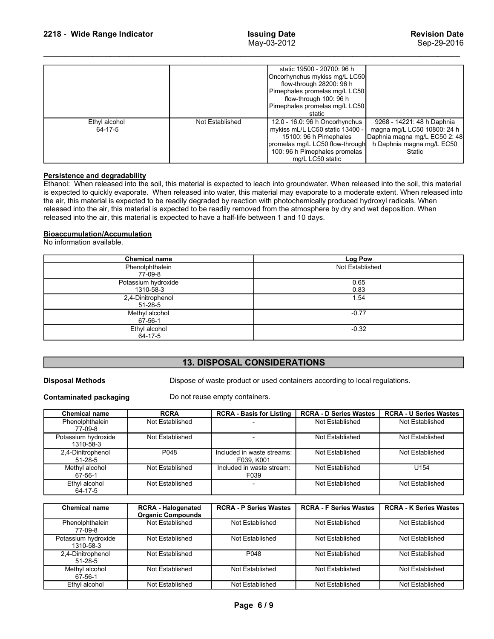| 2218 - Wide Range Indicator                                                                                                                                                                                                                                                                                                                                                                                                                                                                                                                                                                                                                                                                                   |                 | <b>Issuing Date</b><br>May-03-2012                                                                                                                                                  | <b>Revision Date</b><br>Sep-29-2016                                                                 |  |
|---------------------------------------------------------------------------------------------------------------------------------------------------------------------------------------------------------------------------------------------------------------------------------------------------------------------------------------------------------------------------------------------------------------------------------------------------------------------------------------------------------------------------------------------------------------------------------------------------------------------------------------------------------------------------------------------------------------|-----------------|-------------------------------------------------------------------------------------------------------------------------------------------------------------------------------------|-----------------------------------------------------------------------------------------------------|--|
|                                                                                                                                                                                                                                                                                                                                                                                                                                                                                                                                                                                                                                                                                                               |                 |                                                                                                                                                                                     |                                                                                                     |  |
|                                                                                                                                                                                                                                                                                                                                                                                                                                                                                                                                                                                                                                                                                                               |                 | static 19500 - 20700: 96 h<br>Oncorhynchus mykiss mg/L LC50<br>flow-through 28200: 96 h<br>Pimephales promelas mg/L LC50<br>flow-through 100: 96 h<br>Pimephales promelas mg/L LC50 |                                                                                                     |  |
| Ethyl alcohol                                                                                                                                                                                                                                                                                                                                                                                                                                                                                                                                                                                                                                                                                                 | Not Established | static<br>12.0 - 16.0: 96 h Oncorhynchus                                                                                                                                            | 9268 - 14221: 48 h Daphnia                                                                          |  |
| 64-17-5                                                                                                                                                                                                                                                                                                                                                                                                                                                                                                                                                                                                                                                                                                       |                 | mykiss mL/L LC50 static 13400 -<br>15100: 96 h Pimephales<br>promelas mg/L LC50 flow-through<br>100: 96 h Pimephales promelas<br>mg/L LC50 static                                   | magna mg/L LC50 10800: 24 h<br>Daphnia magna mg/L EC50 2: 48<br>h Daphnia magna mg/L EC50<br>Static |  |
| Persistence and degradability<br>Ethanol: When released into the soil, this material is expected to leach into groundwater. When released into the soil, this material<br>is expected to quickly evaporate. When released into water, this material may evaporate to a moderate extent. When released into<br>the air, this material is expected to be readily degraded by reaction with photochemically produced hydroxyl radicals. When<br>released into the air, this material is expected to be readily removed from the atmosphere by dry and wet deposition. When<br>released into the air, this material is expected to have a half-life between 1 and 10 days.<br><b>Bioaccumulation/Accumulation</b> |                 |                                                                                                                                                                                     |                                                                                                     |  |
| No information available.                                                                                                                                                                                                                                                                                                                                                                                                                                                                                                                                                                                                                                                                                     |                 |                                                                                                                                                                                     |                                                                                                     |  |
| <b>Chemical name</b><br>Phenolphthalein<br>77-09-8                                                                                                                                                                                                                                                                                                                                                                                                                                                                                                                                                                                                                                                            |                 | Log Pow<br>Not Established                                                                                                                                                          |                                                                                                     |  |
| Potassium hydroxide<br>1310-58-3                                                                                                                                                                                                                                                                                                                                                                                                                                                                                                                                                                                                                                                                              |                 | 0.65<br>0.83                                                                                                                                                                        |                                                                                                     |  |
| 2,4-Dinitrophenol<br>$51 - 28 - 5$                                                                                                                                                                                                                                                                                                                                                                                                                                                                                                                                                                                                                                                                            |                 | 1.54                                                                                                                                                                                |                                                                                                     |  |

## Bioaccumulation/Accumulation

| Persistence and degradability                                    |                                    | Ethanol: When released into the soil, this material is expected to leach into groundwater. When released into the soil, this material<br>is expected to quickly evaporate. When released into water, this material may evaporate to a moderate extent. When released into<br>the air, this material is expected to be readily degraded by reaction with photochemically produced hydroxyl radicals. When<br>released into the air, this material is expected to be readily removed from the atmosphere by dry and wet deposition. When<br>released into the air, this material is expected to have a half-life between 1 and 10 days. |                               |                               |  |
|------------------------------------------------------------------|------------------------------------|---------------------------------------------------------------------------------------------------------------------------------------------------------------------------------------------------------------------------------------------------------------------------------------------------------------------------------------------------------------------------------------------------------------------------------------------------------------------------------------------------------------------------------------------------------------------------------------------------------------------------------------|-------------------------------|-------------------------------|--|
| <b>Bioaccumulation/Accumulation</b><br>No information available. |                                    |                                                                                                                                                                                                                                                                                                                                                                                                                                                                                                                                                                                                                                       |                               |                               |  |
|                                                                  | <b>Chemical name</b>               |                                                                                                                                                                                                                                                                                                                                                                                                                                                                                                                                                                                                                                       | <b>Log Pow</b>                |                               |  |
|                                                                  | Phenolphthalein<br>77-09-8         |                                                                                                                                                                                                                                                                                                                                                                                                                                                                                                                                                                                                                                       | Not Established               |                               |  |
|                                                                  | Potassium hydroxide                |                                                                                                                                                                                                                                                                                                                                                                                                                                                                                                                                                                                                                                       | 0.65                          |                               |  |
|                                                                  | 1310-58-3                          |                                                                                                                                                                                                                                                                                                                                                                                                                                                                                                                                                                                                                                       | 0.83                          |                               |  |
|                                                                  | 2,4-Dinitrophenol<br>$51 - 28 - 5$ |                                                                                                                                                                                                                                                                                                                                                                                                                                                                                                                                                                                                                                       | 1.54                          |                               |  |
|                                                                  | Methyl alcohol                     |                                                                                                                                                                                                                                                                                                                                                                                                                                                                                                                                                                                                                                       | $-0.77$                       |                               |  |
|                                                                  | 67-56-1                            |                                                                                                                                                                                                                                                                                                                                                                                                                                                                                                                                                                                                                                       |                               |                               |  |
| Ethyl alcohol<br>64-17-5                                         |                                    |                                                                                                                                                                                                                                                                                                                                                                                                                                                                                                                                                                                                                                       | $-0.32$                       |                               |  |
|                                                                  |                                    |                                                                                                                                                                                                                                                                                                                                                                                                                                                                                                                                                                                                                                       |                               |                               |  |
|                                                                  |                                    | <b>13. DISPOSAL CONSIDERATIONS</b>                                                                                                                                                                                                                                                                                                                                                                                                                                                                                                                                                                                                    |                               |                               |  |
| <b>Disposal Methods</b>                                          |                                    | Dispose of waste product or used containers according to local regulations.                                                                                                                                                                                                                                                                                                                                                                                                                                                                                                                                                           |                               |                               |  |
| <b>Contaminated packaging</b>                                    |                                    | Do not reuse empty containers.                                                                                                                                                                                                                                                                                                                                                                                                                                                                                                                                                                                                        |                               |                               |  |
| <b>Chemical name</b>                                             | <b>RCRA</b>                        | <b>RCRA - Basis for Listing</b>                                                                                                                                                                                                                                                                                                                                                                                                                                                                                                                                                                                                       | <b>RCRA - D Series Wastes</b> | <b>RCRA - U Series Wastes</b> |  |
| Phenolphthalein<br>77-09-8                                       | Not Established                    |                                                                                                                                                                                                                                                                                                                                                                                                                                                                                                                                                                                                                                       | Not Established               | Not Established               |  |
| Potassium hydroxide<br>1310-58-3                                 | Not Established                    |                                                                                                                                                                                                                                                                                                                                                                                                                                                                                                                                                                                                                                       | <b>Not Established</b>        | Not Established               |  |
| 2,4-Dinitrophenol<br>51-28-5                                     | P048                               | Included in waste streams:<br>F039, K001                                                                                                                                                                                                                                                                                                                                                                                                                                                                                                                                                                                              | Not Established               | <b>Not Established</b>        |  |
| Methyl alcohol<br>67-56-1                                        | Not Established                    | Included in waste stream:<br>F039                                                                                                                                                                                                                                                                                                                                                                                                                                                                                                                                                                                                     | Not Established               | U154                          |  |
| Ethyl alcohol<br>64-17-5                                         | Not Established                    |                                                                                                                                                                                                                                                                                                                                                                                                                                                                                                                                                                                                                                       | Not Established               | Not Established               |  |
|                                                                  |                                    |                                                                                                                                                                                                                                                                                                                                                                                                                                                                                                                                                                                                                                       |                               |                               |  |

# 13. DISPOSAL CONSIDERATIONS

| <b>Log Pow</b><br>Phenolphthalein<br>Not Established<br>77-09-8<br>Potassium hydroxide<br>0.65                                                                                   |
|----------------------------------------------------------------------------------------------------------------------------------------------------------------------------------|
|                                                                                                                                                                                  |
|                                                                                                                                                                                  |
| 0.83<br>1310-58-3                                                                                                                                                                |
| 1.54<br>2,4-Dinitrophenol<br>$51 - 28 - 5$                                                                                                                                       |
| Methyl alcohol<br>$-0.77$                                                                                                                                                        |
| 67-56-1                                                                                                                                                                          |
| $-0.32$<br>Ethyl alcohol<br>64-17-5                                                                                                                                              |
|                                                                                                                                                                                  |
| <b>13. DISPOSAL CONSIDERATIONS</b>                                                                                                                                               |
| Dispose of waste product or used containers according to local regulations.<br><b>Disposal Methods</b><br>Do not reuse empty containers.<br><b>Contaminated packaging</b>        |
| <b>RCRA - U Series Wastes</b><br><b>Chemical name</b><br><b>RCRA</b><br><b>RCRA - Basis for Listing</b><br><b>RCRA - D Series Wastes</b>                                         |
| Phenolphthalein<br>Not Established<br>Not Established<br>Not Established<br>77-09-8                                                                                              |
| Potassium hydroxide<br>Not Established<br>Not Established<br>Not Established<br>$\blacksquare$<br>1310-58-3                                                                      |
| P048<br>Not Established<br>Not Established<br>2,4-Dinitrophenol<br>Included in waste streams:<br>F039, K001<br>51-28-5                                                           |
| Not Established<br>U154<br>Methyl alcohol<br>Not Established<br>Included in waste stream:<br>67-56-1<br>F039                                                                     |
| Ethyl alcohol<br>Not Established<br>Not Established<br>Not Established<br>64-17-5                                                                                                |
|                                                                                                                                                                                  |
| <b>RCRA - Halogenated</b><br><b>RCRA - P Series Wastes</b><br><b>RCRA - F Series Wastes</b><br><b>RCRA - K Series Wastes</b><br><b>Chemical name</b><br><b>Organic Compounds</b> |
| Phenolphthalein<br>Not Established<br>Not Established<br>Not Established<br>Not Established<br>77-09-8                                                                           |
| Potassium hydroxide<br>Not Established<br>Not Established<br>Not Established<br>Not Established<br>1310-58-3                                                                     |
| P048<br>Not Established<br>2,4-Dinitrophenol<br>Not Established<br>Not Established<br>51-28-5                                                                                    |
| Not Established<br>Not Established<br>Not Established<br>Not Established<br>Methyl alcohol                                                                                       |

| Ethyl alcohol<br>64-17-5                                 |                                |                                                                                                               | $-0.32$                                          |                                                  |  |
|----------------------------------------------------------|--------------------------------|---------------------------------------------------------------------------------------------------------------|--------------------------------------------------|--------------------------------------------------|--|
|                                                          |                                | <b>13. DISPOSAL CONSIDERATIONS</b>                                                                            |                                                  |                                                  |  |
| <b>Disposal Methods</b><br><b>Contaminated packaging</b> |                                | Dispose of waste product or used containers according to local regulations.<br>Do not reuse empty containers. |                                                  |                                                  |  |
|                                                          |                                |                                                                                                               |                                                  |                                                  |  |
| <b>Chemical name</b><br>Phenolphthalein                  | <b>RCRA</b><br>Not Established | <b>RCRA - Basis for Listing</b>                                                                               | <b>RCRA - D Series Wastes</b><br>Not Established | <b>RCRA - U Series Wastes</b><br>Not Established |  |
| 77-09-8                                                  |                                |                                                                                                               |                                                  |                                                  |  |
| Potassium hydroxide<br>1310-58-3                         | Not Established                |                                                                                                               | Not Established                                  | Not Established                                  |  |
| 2,4-Dinitrophenol<br>$51 - 28 - 5$                       | P048                           | Included in waste streams:<br>F039, K001                                                                      | Not Established                                  | Not Established                                  |  |
| Methyl alcohol<br>67-56-1                                | Not Established                | Included in waste stream:<br>F039                                                                             | Not Established                                  | U154                                             |  |
| Ethyl alcohol<br>64-17-5                                 | Not Established                | $\sim$                                                                                                        | Not Established                                  | Not Established                                  |  |
| <b>Chemical name</b>                                     | <b>RCRA - Halogenated</b>      | <b>RCRA - P Series Wastes</b>                                                                                 | <b>RCRA - F Series Wastes</b>                    | <b>RCRA - K Series Wastes</b>                    |  |
|                                                          | <b>Organic Compounds</b>       |                                                                                                               |                                                  |                                                  |  |
| Phenolphthalein<br>77-09-8                               | Not Established                | Not Established                                                                                               | Not Established                                  | Not Established                                  |  |
| Potassium hydroxide<br>1310-58-3                         | Not Established                | Not Established                                                                                               | Not Established                                  | Not Established                                  |  |
| 2,4-Dinitrophenol<br>$51 - 28 - 5$                       | Not Established                | P048                                                                                                          | Not Established                                  | Not Established                                  |  |
| Methyl alcohol<br>67-56-1                                | Not Established                | Not Established                                                                                               | Not Established                                  | Not Established                                  |  |
| Ethyl alcohol                                            | Not Established                | Not Established                                                                                               | Not Established                                  | Not Established                                  |  |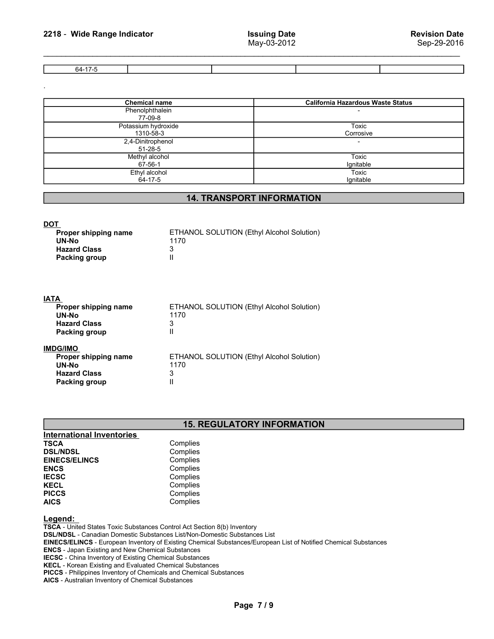2218 - Wide Range Indicator Issuing Date<br>May-03-2012 Revision Date<br>The G4-17-5 Revision Date 64-17-5

| 2218 - Wide Range Indicator                                                                 |                                                                                      | <b>Issuing Date</b><br>May-03-2012 |                                          | <b>Revision Date</b><br>Sep-29-2016 |
|---------------------------------------------------------------------------------------------|--------------------------------------------------------------------------------------|------------------------------------|------------------------------------------|-------------------------------------|
| $64 - 17 - 5$                                                                               |                                                                                      |                                    |                                          |                                     |
|                                                                                             |                                                                                      |                                    |                                          |                                     |
| <b>Chemical name</b><br>Phenolphthalein                                                     |                                                                                      |                                    | <b>California Hazardous Waste Status</b> |                                     |
| 77-09-8<br>Potassium hydroxide                                                              |                                                                                      |                                    | <b>Toxic</b>                             |                                     |
| 1310-58-3<br>2,4-Dinitrophenol                                                              |                                                                                      |                                    | Corrosive<br>$\blacksquare$              |                                     |
| 51-28-5                                                                                     |                                                                                      |                                    |                                          |                                     |
| Methyl alcohol<br>$67 - 56 - 1$                                                             |                                                                                      |                                    | <b>Toxic</b><br>Ignitable                |                                     |
| Ethyl alcohol<br>64-17-5                                                                    |                                                                                      |                                    | <b>Toxic</b><br>Ignitable                |                                     |
|                                                                                             |                                                                                      | <b>14. TRANSPORT INFORMATION</b>   |                                          |                                     |
| <b>DOT</b><br>Proper shipping name<br>UN-No<br><b>Hazard Class</b><br>Packing group         | ETHANOL SOLUTION (Ethyl Alcohol Solution)<br>1170<br>3<br>$\ensuremath{\mathsf{II}}$ |                                    |                                          |                                     |
| <b>IATA</b><br>Proper shipping name<br>UN-No<br><b>Hazard Class</b><br><b>Packing group</b> | ETHANOL SOLUTION (Ethyl Alcohol Solution)<br>1170<br>3<br>$\ensuremath{\mathsf{II}}$ |                                    |                                          |                                     |
| <b>IMDG/IMO</b>                                                                             |                                                                                      |                                    |                                          |                                     |

# 14. TRANSPORT INFORMATION

| ETHANOL SOLUTION (Ethyl Alcohol Solution) |
|-------------------------------------------|
| 1170                                      |
|                                           |
|                                           |
|                                           |

|                                  | $51 - 28 - 5$                                     |                           |  |
|----------------------------------|---------------------------------------------------|---------------------------|--|
| Methyl alcohol                   |                                                   | Toxic                     |  |
| 67-56-1<br>Ethyl alcohol         |                                                   | Ignitable<br><b>Toxic</b> |  |
| 64-17-5                          |                                                   | Ignitable                 |  |
|                                  |                                                   |                           |  |
|                                  | <b>14. TRANSPORT INFORMATION</b>                  |                           |  |
|                                  |                                                   |                           |  |
| <b>DOT</b>                       |                                                   |                           |  |
| Proper shipping name<br>UN-No    | ETHANOL SOLUTION (Ethyl Alcohol Solution)<br>1170 |                           |  |
| <b>Hazard Class</b>              | 3                                                 |                           |  |
| Packing group                    | Ш                                                 |                           |  |
|                                  |                                                   |                           |  |
| <b>IATA</b>                      |                                                   |                           |  |
| Proper shipping name             | ETHANOL SOLUTION (Ethyl Alcohol Solution)         |                           |  |
| UN-No                            | 1170                                              |                           |  |
| <b>Hazard Class</b>              | 3                                                 |                           |  |
| <b>Packing group</b>             | $\mathbf{I}$                                      |                           |  |
| <b>IMDG/IMO</b>                  |                                                   |                           |  |
| Proper shipping name             | ETHANOL SOLUTION (Ethyl Alcohol Solution)         |                           |  |
| UN-No                            | 1170                                              |                           |  |
| <b>Hazard Class</b>              | 3                                                 |                           |  |
| <b>Packing group</b>             | Ш                                                 |                           |  |
|                                  |                                                   |                           |  |
|                                  | <b>15. REGULATORY INFORMATION</b>                 |                           |  |
| <b>International Inventories</b> |                                                   |                           |  |
| <b>TSCA</b>                      | Complies                                          |                           |  |
| <b>DSL/NDSL</b>                  | Complies                                          |                           |  |
| <b>EINECS/ELINCS</b>             | Complies                                          |                           |  |
| <b>ENCS</b>                      | Complies                                          |                           |  |
| <b>IECSC</b>                     | Complies                                          |                           |  |
| <b>KECL</b>                      | Complies                                          |                           |  |

# 15. REGULATORY INFORMATION

| <b>International Inventories</b> |          |  |
|----------------------------------|----------|--|
| <b>TSCA</b>                      | Complies |  |
| <b>DSL/NDSL</b>                  | Complies |  |
| <b>EINECS/ELINCS</b>             | Complies |  |
| <b>ENCS</b>                      | Complies |  |
| <b>IECSC</b>                     | Complies |  |
| <b>KECL</b>                      | Complies |  |
| <b>PICCS</b>                     | Complies |  |
| <b>AICS</b>                      | Complies |  |

# Legend:

TSCA - United States Toxic Substances Control Act Section 8(b) Inventory DSL/NDSL - Canadian Domestic Substances List/Non-Domestic Substances List EINECS/ELINCS - European Inventory of Existing Chemical Substances/European List of Notified Chemical Substances ENCS - Japan Existing and New Chemical Substances IECSC - China Inventory of Existing Chemical Substances KECL - Korean Existing and Evaluated Chemical Substances TORY INFORMATION<br>
Westances List<br>
ances/European List of Notified Chemical Substances<br>
ces<br>
Page 7 / 9

PICCS - Philippines Inventory of Chemicals and Chemical Substances

AICS - Australian Inventory of Chemical Substances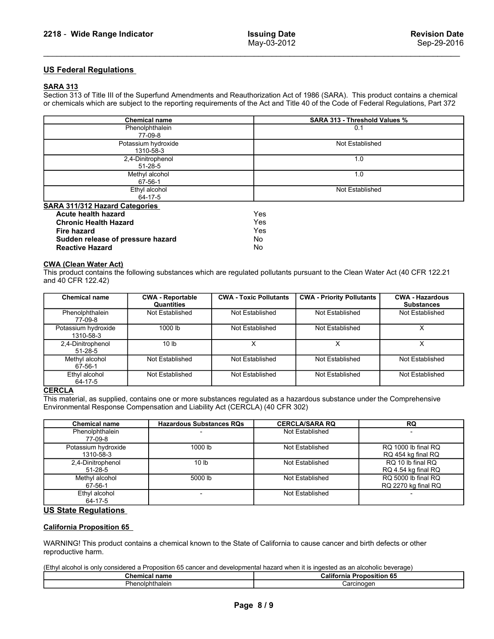**2218 - Wide Range Indicator**<br> **EXECUS Federal Regulations<br>
US Federal Regulations<br>
Section 313 of Title III of the Superfund Amendments and Reauthorization Act of 1986 (SARA).<br>
Section 313 of Title III of the Superfund Am** SARA 313<br>Section 313 of Title III of the Superfund Amendments and Reauthorization Act of 1986 (SARA). This product contains a chemical

| 2218 - Wide Range Indicator                                                                                                                                                       |                                       | <b>Issuing Date</b><br>May-03-2012 |                                                                                                                                                                                                                                                                    | <b>Revision Date</b><br>Sep-29-2016         |  |
|-----------------------------------------------------------------------------------------------------------------------------------------------------------------------------------|---------------------------------------|------------------------------------|--------------------------------------------------------------------------------------------------------------------------------------------------------------------------------------------------------------------------------------------------------------------|---------------------------------------------|--|
| <b>US Federal Regulations</b>                                                                                                                                                     |                                       |                                    |                                                                                                                                                                                                                                                                    |                                             |  |
| <b>SARA 313</b>                                                                                                                                                                   |                                       |                                    | Section 313 of Title III of the Superfund Amendments and Reauthorization Act of 1986 (SARA). This product contains a chemical<br>or chemicals which are subject to the reporting requirements of the Act and Title 40 of the Code of Federal Regulations, Part 372 |                                             |  |
| <b>Chemical name</b><br>Phenolphthalein                                                                                                                                           |                                       |                                    | <b>SARA 313 - Threshold Values %</b><br>0.1                                                                                                                                                                                                                        |                                             |  |
|                                                                                                                                                                                   | 77-09-8                               |                                    |                                                                                                                                                                                                                                                                    |                                             |  |
|                                                                                                                                                                                   | Potassium hydroxide<br>1310-58-3      |                                    | Not Established                                                                                                                                                                                                                                                    |                                             |  |
|                                                                                                                                                                                   | 2,4-Dinitrophenol                     |                                    | 1.0                                                                                                                                                                                                                                                                |                                             |  |
|                                                                                                                                                                                   | 51-28-5<br>Methyl alcohol             |                                    | 1.0                                                                                                                                                                                                                                                                |                                             |  |
| 67-56-1<br>Ethyl alcohol                                                                                                                                                          |                                       |                                    | Not Established                                                                                                                                                                                                                                                    |                                             |  |
|                                                                                                                                                                                   | $64 - 17 - 5$                         |                                    |                                                                                                                                                                                                                                                                    |                                             |  |
| <b>SARA 311/312 Hazard Categories</b><br>Acute health hazard<br><b>Chronic Health Hazard</b><br><b>Fire hazard</b><br>Sudden release of pressure hazard<br><b>Reactive Hazard</b> |                                       | Yes<br>Yes<br>Yes<br>No<br>No      |                                                                                                                                                                                                                                                                    |                                             |  |
| <b>CWA (Clean Water Act)</b><br>and 40 CFR 122.42)                                                                                                                                |                                       |                                    | This product contains the following substances which are regulated pollutants pursuant to the Clean Water Act (40 CFR 122.21                                                                                                                                       |                                             |  |
| <b>Chemical name</b>                                                                                                                                                              | <b>CWA - Reportable</b><br>Quantities | <b>CWA - Toxic Pollutants</b>      | <b>CWA - Priority Pollutants</b>                                                                                                                                                                                                                                   | <b>CWA - Hazardous</b><br><b>Substances</b> |  |
| Phenolphthalein                                                                                                                                                                   | Not Established                       | Not Established                    | Not Established                                                                                                                                                                                                                                                    | Not Established                             |  |
| 77-09-8<br>Potassium hydroxide                                                                                                                                                    | 1000 lb                               | Not Established                    | Not Established                                                                                                                                                                                                                                                    | $\overline{X}$                              |  |
| 1310-58-3<br>2,4-Dinitrophenol                                                                                                                                                    | 10 <sub>lb</sub>                      | $\overline{X}$                     | $\overline{X}$                                                                                                                                                                                                                                                     | $\overline{X}$                              |  |
| 51-28-5                                                                                                                                                                           |                                       |                                    |                                                                                                                                                                                                                                                                    |                                             |  |
| Methyl alcohol<br>67-56-1                                                                                                                                                         | Not Established                       | Not Established                    | Not Established                                                                                                                                                                                                                                                    | Not Established                             |  |
| Ethyl alcohol<br>$64-17-5$                                                                                                                                                        | Not Established                       | Not Established                    | Not Established                                                                                                                                                                                                                                                    | Not Established                             |  |
| <b>CERCLA</b>                                                                                                                                                                     |                                       |                                    |                                                                                                                                                                                                                                                                    |                                             |  |

|                                                                                              | 1310-58-3                             |                               |                                                                                                                              |                                             |
|----------------------------------------------------------------------------------------------|---------------------------------------|-------------------------------|------------------------------------------------------------------------------------------------------------------------------|---------------------------------------------|
|                                                                                              | 2,4-Dinitrophenol<br>51-28-5          |                               | 1.0                                                                                                                          |                                             |
|                                                                                              | Methyl alcohol                        |                               | 1.0                                                                                                                          |                                             |
|                                                                                              | 67-56-1                               |                               |                                                                                                                              |                                             |
|                                                                                              | Ethyl alcohol<br>64-17-5              |                               | Not Established                                                                                                              |                                             |
| <b>SARA 311/312 Hazard Categories</b>                                                        |                                       |                               |                                                                                                                              |                                             |
| Acute health hazard                                                                          |                                       | Yes                           |                                                                                                                              |                                             |
| <b>Chronic Health Hazard</b>                                                                 |                                       | Yes                           |                                                                                                                              |                                             |
| <b>Fire hazard</b>                                                                           |                                       | Yes                           |                                                                                                                              |                                             |
| Sudden release of pressure hazard<br><b>Reactive Hazard</b>                                  |                                       | No<br><b>No</b>               |                                                                                                                              |                                             |
| <b>CWA (Clean Water Act)</b><br>and 40 CFR 122.42)                                           |                                       |                               | This product contains the following substances which are regulated pollutants pursuant to the Clean Water Act (40 CFR 122.21 |                                             |
| <b>Chemical name</b>                                                                         | <b>CWA - Reportable</b><br>Quantities | <b>CWA - Toxic Pollutants</b> | <b>CWA - Priority Pollutants</b>                                                                                             | <b>CWA - Hazardous</b><br><b>Substances</b> |
| Phenolphthalein<br>77-09-8                                                                   | Not Established                       | Not Established               | Not Established                                                                                                              | Not Established                             |
| Potassium hydroxide<br>1310-58-3                                                             | 1000 lb                               | Not Established               | Not Established                                                                                                              | $\overline{X}$                              |
| 2,4-Dinitrophenol<br>51-28-5                                                                 | 10 <sub>lb</sub>                      | $\times$                      | $\times$                                                                                                                     | $\times$                                    |
| Methyl alcohol<br>67-56-1                                                                    | Not Established                       | Not Established               | Not Established                                                                                                              | Not Established                             |
| Ethyl alcohol<br>64-17-5                                                                     | Not Established                       | Not Established               | Not Established                                                                                                              | Not Established                             |
| <b>CERCLA</b><br>Environmental Response Compensation and Liability Act (CERCLA) (40 CFR 302) |                                       |                               | This material, as supplied, contains one or more substances regulated as a hazardous substance under the Comprehensive       |                                             |
| <b>Chemical name</b>                                                                         | <b>Hazardous Substances RQs</b>       |                               | <b>CERCLA/SARA RQ</b>                                                                                                        | <b>RQ</b>                                   |
| Phenolphthalein<br>77-09-8                                                                   |                                       |                               | Not Established                                                                                                              |                                             |
| Potassium hydroxide<br>1310-58-3                                                             | 1000 lb                               |                               | Not Established                                                                                                              | RQ 1000 lb final RQ<br>RQ 454 kg final RQ   |
| 2,4-Dinitrophenol<br>51-28-5                                                                 | 10 <sub>lb</sub>                      |                               | Not Established                                                                                                              | RQ 10 lb final RQ<br>RQ 4.54 kg final RQ    |
| Methyl alcohol<br>67-56-1                                                                    | 5000 lb                               |                               | Not Established                                                                                                              | RQ 5000 lb final RQ<br>RQ 2270 kg final RQ  |
| Ethyl alcohol<br>64-17-5                                                                     | $\overline{\phantom{a}}$              |                               | Not Established                                                                                                              |                                             |
| <b>US State Regulations</b>                                                                  |                                       |                               |                                                                                                                              |                                             |
| <b>California Proposition 65</b>                                                             |                                       |                               |                                                                                                                              |                                             |
| reproductive harm.                                                                           |                                       |                               | WARNING! This product contains a chemical known to the State of California to cause cancer and birth defects or other        |                                             |

| 1000 lb<br>X<br>Potassium hydroxide<br>Not Established<br>Not Established<br>1310-58-3<br>10 <sub>lb</sub><br>X<br>X<br>X<br>2,4-Dinitrophenol<br>$51 - 28 - 5$<br>Not Established<br>Not Established<br>Not Established<br>Not Established<br>Methyl alcohol<br>$67 - 56 - 1$<br>Ethyl alcohol<br>Not Established<br>Not Established<br>Not Established<br>Not Established<br>64-17-5<br><b>CERCLA</b><br>This material, as supplied, contains one or more substances regulated as a hazardous substance under the Comprehensive<br>Environmental Response Compensation and Liability Act (CERCLA) (40 CFR 302)<br><b>Hazardous Substances RQs</b><br><b>CERCLA/SARA RQ</b><br><b>RQ</b><br><b>Chemical name</b><br>Not Established<br>Phenolphthalein<br>77-09-8<br>RQ 1000 lb final RQ<br>Potassium hydroxide<br>1000 lb<br>Not Established<br>1310-58-3<br>RQ 454 kg final RQ<br>RQ 10 lb final RQ<br>Not Established<br>2,4-Dinitrophenol<br>10 <sub>lb</sub><br>51-28-5<br>RQ 4.54 kg final RQ<br>5000 lb<br>Not Established<br>RQ 5000 lb final RQ<br>Methyl alcohol<br>67-56-1<br>RQ 2270 kg final RQ<br>Ethyl alcohol<br>Not Established<br>$64 - 17 - 5$<br><b>US State Regulations</b><br>WARNING! This product contains a chemical known to the State of California to cause cancer and birth defects or other<br>(Ethyl alcohol is only considered a Proposition 65 cancer and developmental hazard when it is ingested as an alcoholic beverage)<br><b>California Proposition 65</b><br><b>Chemical name</b><br>Phenolphthalein<br>Carcinogen<br>Page 8/9 | $77 - 09 - 8$ |  |  |  |  |
|-------------------------------------------------------------------------------------------------------------------------------------------------------------------------------------------------------------------------------------------------------------------------------------------------------------------------------------------------------------------------------------------------------------------------------------------------------------------------------------------------------------------------------------------------------------------------------------------------------------------------------------------------------------------------------------------------------------------------------------------------------------------------------------------------------------------------------------------------------------------------------------------------------------------------------------------------------------------------------------------------------------------------------------------------------------------------------------------------------------------------------------------------------------------------------------------------------------------------------------------------------------------------------------------------------------------------------------------------------------------------------------------------------------------------------------------------------------------------------------------------------------------------------------------------------------------------|---------------|--|--|--|--|
| <b>California Proposition 65</b><br>reproductive harm.                                                                                                                                                                                                                                                                                                                                                                                                                                                                                                                                                                                                                                                                                                                                                                                                                                                                                                                                                                                                                                                                                                                                                                                                                                                                                                                                                                                                                                                                                                                  |               |  |  |  |  |
|                                                                                                                                                                                                                                                                                                                                                                                                                                                                                                                                                                                                                                                                                                                                                                                                                                                                                                                                                                                                                                                                                                                                                                                                                                                                                                                                                                                                                                                                                                                                                                         |               |  |  |  |  |
|                                                                                                                                                                                                                                                                                                                                                                                                                                                                                                                                                                                                                                                                                                                                                                                                                                                                                                                                                                                                                                                                                                                                                                                                                                                                                                                                                                                                                                                                                                                                                                         |               |  |  |  |  |
|                                                                                                                                                                                                                                                                                                                                                                                                                                                                                                                                                                                                                                                                                                                                                                                                                                                                                                                                                                                                                                                                                                                                                                                                                                                                                                                                                                                                                                                                                                                                                                         |               |  |  |  |  |
|                                                                                                                                                                                                                                                                                                                                                                                                                                                                                                                                                                                                                                                                                                                                                                                                                                                                                                                                                                                                                                                                                                                                                                                                                                                                                                                                                                                                                                                                                                                                                                         |               |  |  |  |  |
|                                                                                                                                                                                                                                                                                                                                                                                                                                                                                                                                                                                                                                                                                                                                                                                                                                                                                                                                                                                                                                                                                                                                                                                                                                                                                                                                                                                                                                                                                                                                                                         |               |  |  |  |  |
|                                                                                                                                                                                                                                                                                                                                                                                                                                                                                                                                                                                                                                                                                                                                                                                                                                                                                                                                                                                                                                                                                                                                                                                                                                                                                                                                                                                                                                                                                                                                                                         |               |  |  |  |  |
|                                                                                                                                                                                                                                                                                                                                                                                                                                                                                                                                                                                                                                                                                                                                                                                                                                                                                                                                                                                                                                                                                                                                                                                                                                                                                                                                                                                                                                                                                                                                                                         |               |  |  |  |  |
|                                                                                                                                                                                                                                                                                                                                                                                                                                                                                                                                                                                                                                                                                                                                                                                                                                                                                                                                                                                                                                                                                                                                                                                                                                                                                                                                                                                                                                                                                                                                                                         |               |  |  |  |  |
|                                                                                                                                                                                                                                                                                                                                                                                                                                                                                                                                                                                                                                                                                                                                                                                                                                                                                                                                                                                                                                                                                                                                                                                                                                                                                                                                                                                                                                                                                                                                                                         |               |  |  |  |  |
|                                                                                                                                                                                                                                                                                                                                                                                                                                                                                                                                                                                                                                                                                                                                                                                                                                                                                                                                                                                                                                                                                                                                                                                                                                                                                                                                                                                                                                                                                                                                                                         |               |  |  |  |  |
|                                                                                                                                                                                                                                                                                                                                                                                                                                                                                                                                                                                                                                                                                                                                                                                                                                                                                                                                                                                                                                                                                                                                                                                                                                                                                                                                                                                                                                                                                                                                                                         |               |  |  |  |  |
|                                                                                                                                                                                                                                                                                                                                                                                                                                                                                                                                                                                                                                                                                                                                                                                                                                                                                                                                                                                                                                                                                                                                                                                                                                                                                                                                                                                                                                                                                                                                                                         |               |  |  |  |  |
|                                                                                                                                                                                                                                                                                                                                                                                                                                                                                                                                                                                                                                                                                                                                                                                                                                                                                                                                                                                                                                                                                                                                                                                                                                                                                                                                                                                                                                                                                                                                                                         |               |  |  |  |  |
|                                                                                                                                                                                                                                                                                                                                                                                                                                                                                                                                                                                                                                                                                                                                                                                                                                                                                                                                                                                                                                                                                                                                                                                                                                                                                                                                                                                                                                                                                                                                                                         |               |  |  |  |  |
|                                                                                                                                                                                                                                                                                                                                                                                                                                                                                                                                                                                                                                                                                                                                                                                                                                                                                                                                                                                                                                                                                                                                                                                                                                                                                                                                                                                                                                                                                                                                                                         |               |  |  |  |  |
|                                                                                                                                                                                                                                                                                                                                                                                                                                                                                                                                                                                                                                                                                                                                                                                                                                                                                                                                                                                                                                                                                                                                                                                                                                                                                                                                                                                                                                                                                                                                                                         |               |  |  |  |  |
|                                                                                                                                                                                                                                                                                                                                                                                                                                                                                                                                                                                                                                                                                                                                                                                                                                                                                                                                                                                                                                                                                                                                                                                                                                                                                                                                                                                                                                                                                                                                                                         |               |  |  |  |  |
|                                                                                                                                                                                                                                                                                                                                                                                                                                                                                                                                                                                                                                                                                                                                                                                                                                                                                                                                                                                                                                                                                                                                                                                                                                                                                                                                                                                                                                                                                                                                                                         |               |  |  |  |  |
|                                                                                                                                                                                                                                                                                                                                                                                                                                                                                                                                                                                                                                                                                                                                                                                                                                                                                                                                                                                                                                                                                                                                                                                                                                                                                                                                                                                                                                                                                                                                                                         |               |  |  |  |  |
|                                                                                                                                                                                                                                                                                                                                                                                                                                                                                                                                                                                                                                                                                                                                                                                                                                                                                                                                                                                                                                                                                                                                                                                                                                                                                                                                                                                                                                                                                                                                                                         |               |  |  |  |  |

| Chemical name   | <b>California Proposition 65</b> |
|-----------------|----------------------------------|
| Phenolphthalein | Carcınoqen                       |